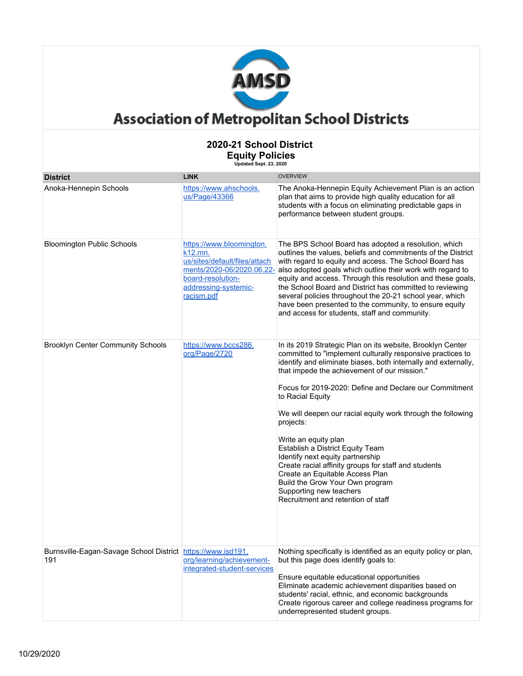

| <b>District</b>                                                    | <b>LINK</b>                                                                                                                                                  | <b>OVERVIEW</b>                                                                                                                                                                                                                                                                                                                                                                                                                                                                                                                                                                                                                                                                                     |  |
|--------------------------------------------------------------------|--------------------------------------------------------------------------------------------------------------------------------------------------------------|-----------------------------------------------------------------------------------------------------------------------------------------------------------------------------------------------------------------------------------------------------------------------------------------------------------------------------------------------------------------------------------------------------------------------------------------------------------------------------------------------------------------------------------------------------------------------------------------------------------------------------------------------------------------------------------------------------|--|
| Anoka-Hennepin Schools                                             | https://www.ahschools.<br>us/Page/43366                                                                                                                      | The Anoka-Hennepin Equity Achievement Plan is an action<br>plan that aims to provide high quality education for all<br>students with a focus on eliminating predictable gaps in<br>performance between student groups.                                                                                                                                                                                                                                                                                                                                                                                                                                                                              |  |
| <b>Bloomington Public Schools</b>                                  | https://www.bloomington.<br>k12.mn.<br>us/sites/default/files/attach<br>ments/2020-06/2020.06.22-<br>board-resolution-<br>addressing-systemic-<br>racism.pdf | The BPS School Board has adopted a resolution, which<br>outlines the values, beliefs and commitments of the District<br>with regard to equity and access. The School Board has<br>also adopted goals which outline their work with regard to<br>equity and access. Through this resolution and these goals,<br>the School Board and District has committed to reviewing<br>several policies throughout the 20-21 school year, which<br>have been presented to the community, to ensure equity<br>and access for students, staff and community.                                                                                                                                                      |  |
| <b>Brooklyn Center Community Schools</b>                           | https://www.bccs286.<br>org/Page/2720                                                                                                                        | In its 2019 Strategic Plan on its website, Brooklyn Center<br>committed to "implement culturally responsive practices to<br>identify and eliminate biases, both internally and externally,<br>that impede the achievement of our mission."<br>Focus for 2019-2020: Define and Declare our Commitment<br>to Racial Equity<br>We will deepen our racial equity work through the following<br>projects:<br>Write an equity plan<br>Establish a District Equity Team<br>Identify next equity partnership<br>Create racial affinity groups for staff and students<br>Create an Equitable Access Plan<br>Build the Grow Your Own program<br>Supporting new teachers<br>Recruitment and retention of staff |  |
| Burnsville-Eagan-Savage School District https://www.isd191.<br>191 | org/learning/achievement-<br>integrated-student-services                                                                                                     | Nothing specifically is identified as an equity policy or plan,<br>but this page does identify goals to:<br>Ensure equitable educational opportunities<br>Eliminate academic achievement disparities based on<br>students' racial, ethnic, and economic backgrounds<br>Create rigorous career and college readiness programs for<br>underrepresented student groups.                                                                                                                                                                                                                                                                                                                                |  |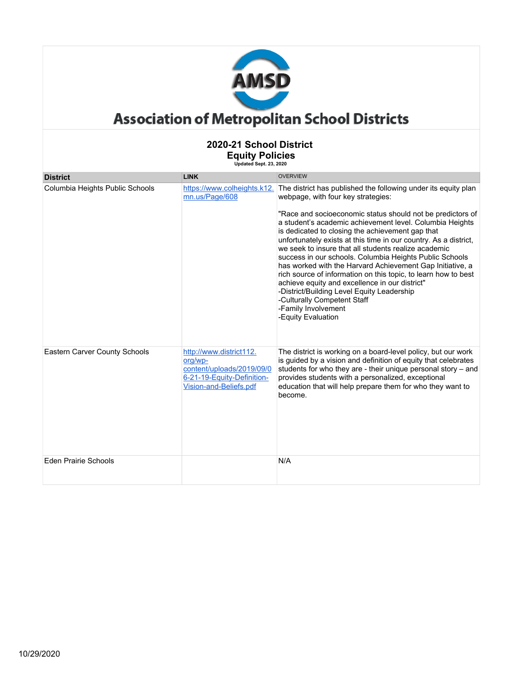

#### **2020-21 School District Equity Policies Updated Sept. 23, 2020 District LINK** OVERVIEW Columbia Heights Public Schools [mn.us/Page/608](https://www.colheights.k12.mn.us/Page/608) https://www.colheights.k12. The district has published the following under its equity plan webpage, with four key strategies: "Race and socioeconomic status should not be predictors of a student's academic achievement level. Columbia Heights is dedicated to closing the achievement gap that unfortunately exists at this time in our country. As a district, we seek to insure that all students realize academic success in our schools. Columbia Heights Public Schools has worked with the Harvard Achievement Gap Initiative, a rich source of information on this topic, to learn how to best achieve equity and excellence in our district" -District/Building Level Equity Leadership -Culturally Competent Staff -Family Involvement -Equity Evaluation Eastern Carver County Schools [http://www.district112.](http://www.district112.org/wp-content/uploads/2019/09/06-21-19-Equity-Definition-Vision-and-Beliefs.pdf) [org/wp](http://www.district112.org/wp-content/uploads/2019/09/06-21-19-Equity-Definition-Vision-and-Beliefs.pdf)[content/uploads/2019/09/0](http://www.district112.org/wp-content/uploads/2019/09/06-21-19-Equity-Definition-Vision-and-Beliefs.pdf) [6-21-19-Equity-Definition-](http://www.district112.org/wp-content/uploads/2019/09/06-21-19-Equity-Definition-Vision-and-Beliefs.pdf)[Vision-and-Beliefs.pdf](http://www.district112.org/wp-content/uploads/2019/09/06-21-19-Equity-Definition-Vision-and-Beliefs.pdf) The district is working on a board-level policy, but our work is guided by a vision and definition of equity that celebrates students for who they are - their unique personal story – and provides students with a personalized, exceptional education that will help prepare them for who they want to become. Eden Prairie Schools N/A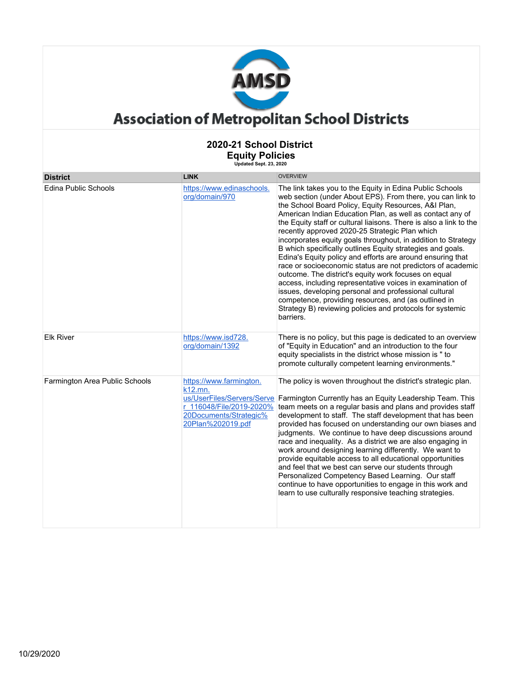

| <b>District</b>                | <b>LINK</b>                                                                                                   | <b>OVERVIEW</b>                                                                                                                                                                                                                                                                                                                                                                                                                                                                                                                                                                                                                                                                                                                                                                                                                                                                                                                                 |
|--------------------------------|---------------------------------------------------------------------------------------------------------------|-------------------------------------------------------------------------------------------------------------------------------------------------------------------------------------------------------------------------------------------------------------------------------------------------------------------------------------------------------------------------------------------------------------------------------------------------------------------------------------------------------------------------------------------------------------------------------------------------------------------------------------------------------------------------------------------------------------------------------------------------------------------------------------------------------------------------------------------------------------------------------------------------------------------------------------------------|
| <b>Edina Public Schools</b>    | https://www.edinaschools.<br>org/domain/970                                                                   | The link takes you to the Equity in Edina Public Schools<br>web section (under About EPS). From there, you can link to<br>the School Board Policy, Equity Resources, A&I Plan,<br>American Indian Education Plan, as well as contact any of<br>the Equity staff or cultural liaisons. There is also a link to the<br>recently approved 2020-25 Strategic Plan which<br>incorporates equity goals throughout, in addition to Strategy<br>B which specifically outlines Equity strategies and goals.<br>Edina's Equity policy and efforts are around ensuring that<br>race or socioeconomic status are not predictors of academic<br>outcome. The district's equity work focuses on equal<br>access, including representative voices in examination of<br>issues, developing personal and professional cultural<br>competence, providing resources, and (as outlined in<br>Strategy B) reviewing policies and protocols for systemic<br>barriers. |
| <b>Elk River</b>               | https://www.isd728.<br>org/domain/1392                                                                        | There is no policy, but this page is dedicated to an overview<br>of "Equity in Education" and an introduction to the four<br>equity specialists in the district whose mission is " to<br>promote culturally competent learning environments."                                                                                                                                                                                                                                                                                                                                                                                                                                                                                                                                                                                                                                                                                                   |
| Farmington Area Public Schools | https://www.farmington.<br>k12.mn.<br>r 116048/File/2019-2020%<br>20Documents/Strategic%<br>20Plan%202019.pdf | The policy is woven throughout the district's strategic plan.<br>us/UserFiles/Servers/Serve Farmington Currently has an Equity Leadership Team. This<br>team meets on a regular basis and plans and provides staff<br>development to staff. The staff development that has been<br>provided has focused on understanding our own biases and<br>judgments. We continue to have deep discussions around<br>race and inequality. As a district we are also engaging in<br>work around designing learning differently. We want to<br>provide equitable access to all educational opportunities<br>and feel that we best can serve our students through<br>Personalized Competency Based Learning. Our staff<br>continue to have opportunities to engage in this work and<br>learn to use culturally responsive teaching strategies.                                                                                                                 |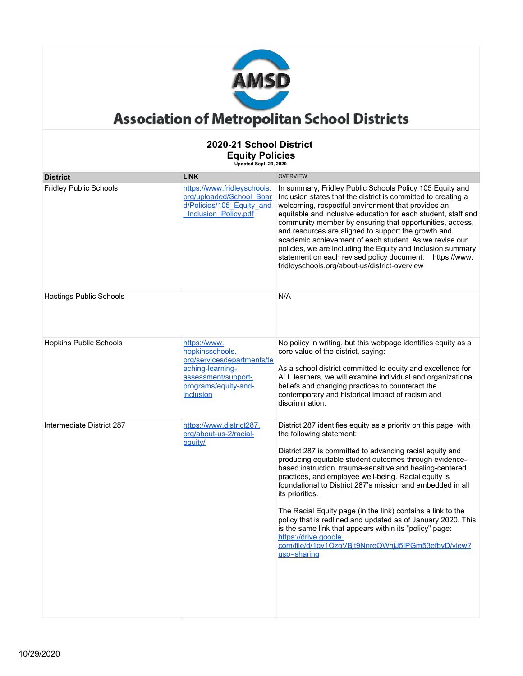

| <b>District</b>                | <b>LINK</b>                                                                                                                                   | <b>OVERVIEW</b>                                                                                                                                                                                                                                                                                                                                                                                                                                                                                                                                                                                                                                                                                                |
|--------------------------------|-----------------------------------------------------------------------------------------------------------------------------------------------|----------------------------------------------------------------------------------------------------------------------------------------------------------------------------------------------------------------------------------------------------------------------------------------------------------------------------------------------------------------------------------------------------------------------------------------------------------------------------------------------------------------------------------------------------------------------------------------------------------------------------------------------------------------------------------------------------------------|
| <b>Fridley Public Schools</b>  | https://www.fridleyschools.<br>org/uploaded/School Boar<br>d/Policies/105 Equity and<br><b>Inclusion Policy.pdf</b>                           | In summary, Fridley Public Schools Policy 105 Equity and<br>Inclusion states that the district is committed to creating a<br>welcoming, respectful environment that provides an<br>equitable and inclusive education for each student, staff and<br>community member by ensuring that opportunities, access,<br>and resources are aligned to support the growth and<br>academic achievement of each student. As we revise our<br>policies, we are including the Equity and Inclusion summary<br>statement on each revised policy document. https://www.<br>fridleyschools.org/about-us/district-overview                                                                                                       |
| <b>Hastings Public Schools</b> |                                                                                                                                               | N/A                                                                                                                                                                                                                                                                                                                                                                                                                                                                                                                                                                                                                                                                                                            |
| <b>Hopkins Public Schools</b>  | https://www.<br>hopkinsschools.<br>org/servicesdepartments/te<br>aching-learning-<br>assessment/support-<br>programs/equity-and-<br>inclusion | No policy in writing, but this webpage identifies equity as a<br>core value of the district, saying:<br>As a school district committed to equity and excellence for<br>ALL learners, we will examine individual and organizational<br>beliefs and changing practices to counteract the<br>contemporary and historical impact of racism and<br>discrimination.                                                                                                                                                                                                                                                                                                                                                  |
| Intermediate District 287      | https://www.district287.<br>org/about-us-2/racial-<br>equity/                                                                                 | District 287 identifies equity as a priority on this page, with<br>the following statement:<br>District 287 is committed to advancing racial equity and<br>producing equitable student outcomes through evidence-<br>based instruction, trauma-sensitive and healing-centered<br>practices, and employee well-being. Racial equity is<br>foundational to District 287's mission and embedded in all<br>its priorities.<br>The Racial Equity page (in the link) contains a link to the<br>policy that is redlined and updated as of January 2020. This<br>is the same link that appears within its "policy" page:<br>https://drive.google.<br>com/file/d/1qv1OzoVBjt9NnreQWnjJ5IPGm53efbvD/view?<br>usp=sharing |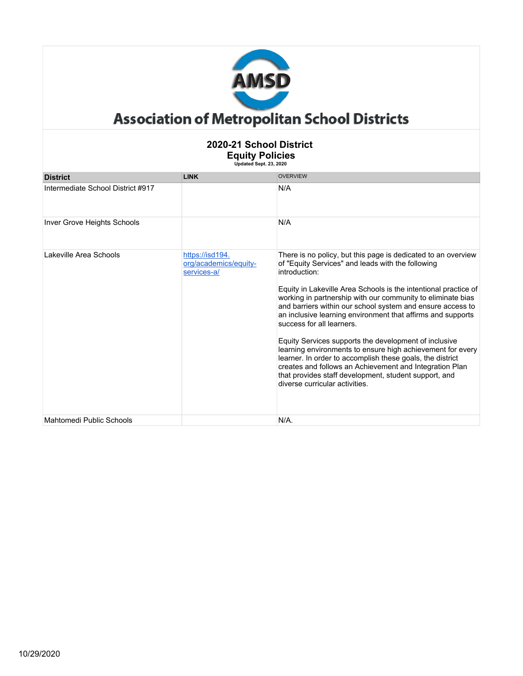

| <b>District</b>                    | <b>LINK</b>                                             | <b>OVERVIEW</b>                                                                                                                                                                                                                                                                                                                                                                                                                                                                                                                                                                                                                                                                                                                                                           |
|------------------------------------|---------------------------------------------------------|---------------------------------------------------------------------------------------------------------------------------------------------------------------------------------------------------------------------------------------------------------------------------------------------------------------------------------------------------------------------------------------------------------------------------------------------------------------------------------------------------------------------------------------------------------------------------------------------------------------------------------------------------------------------------------------------------------------------------------------------------------------------------|
| Intermediate School District #917  |                                                         | N/A                                                                                                                                                                                                                                                                                                                                                                                                                                                                                                                                                                                                                                                                                                                                                                       |
| <b>Inver Grove Heights Schools</b> |                                                         | N/A                                                                                                                                                                                                                                                                                                                                                                                                                                                                                                                                                                                                                                                                                                                                                                       |
| Lakeville Area Schools             | https://isd194.<br>org/academics/equity-<br>services-a/ | There is no policy, but this page is dedicated to an overview<br>of "Equity Services" and leads with the following<br>introduction:<br>Equity in Lakeville Area Schools is the intentional practice of<br>working in partnership with our community to eliminate bias<br>and barriers within our school system and ensure access to<br>an inclusive learning environment that affirms and supports<br>success for all learners.<br>Equity Services supports the development of inclusive<br>learning environments to ensure high achievement for every<br>learner. In order to accomplish these goals, the district<br>creates and follows an Achievement and Integration Plan<br>that provides staff development, student support, and<br>diverse curricular activities. |
| Mahtomedi Public Schools           |                                                         | $N/A$ .                                                                                                                                                                                                                                                                                                                                                                                                                                                                                                                                                                                                                                                                                                                                                                   |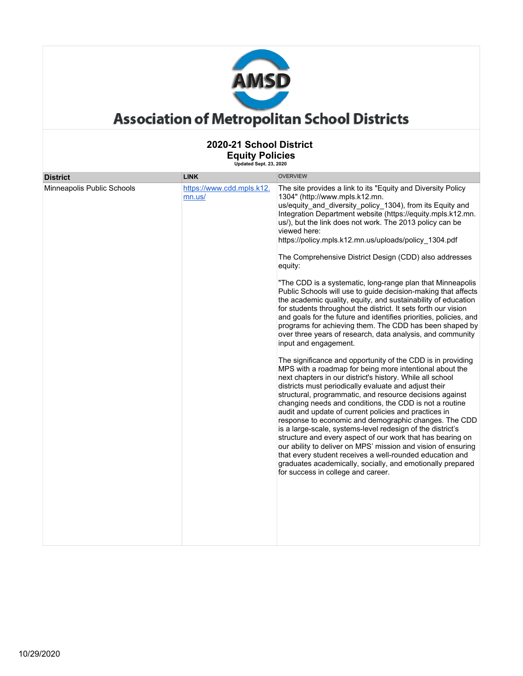

| <b>District</b>            | <b>LINK</b>                         | <b>OVERVIEW</b>                                                                                                                                                                                                                                                                                                                                                                                                                                                                                                                                                                                                                                                                                                                                                                                                                                                                                                                                                                                                                                                                                                                                                                                                                                                                                                                                                                                                                                                                                                                                                                                                                                                                                                                                                                     |
|----------------------------|-------------------------------------|-------------------------------------------------------------------------------------------------------------------------------------------------------------------------------------------------------------------------------------------------------------------------------------------------------------------------------------------------------------------------------------------------------------------------------------------------------------------------------------------------------------------------------------------------------------------------------------------------------------------------------------------------------------------------------------------------------------------------------------------------------------------------------------------------------------------------------------------------------------------------------------------------------------------------------------------------------------------------------------------------------------------------------------------------------------------------------------------------------------------------------------------------------------------------------------------------------------------------------------------------------------------------------------------------------------------------------------------------------------------------------------------------------------------------------------------------------------------------------------------------------------------------------------------------------------------------------------------------------------------------------------------------------------------------------------------------------------------------------------------------------------------------------------|
| Minneapolis Public Schools | https://www.cdd.mpls.k12.<br>mn.us/ | The site provides a link to its "Equity and Diversity Policy<br>1304" (http://www.mpls.k12.mn.<br>us/equity and diversity policy 1304), from its Equity and<br>Integration Department website (https://equity.mpls.k12.mn.<br>us/), but the link does not work. The 2013 policy can be<br>viewed here:<br>https://policy.mpls.k12.mn.us/uploads/policy_1304.pdf<br>The Comprehensive District Design (CDD) also addresses<br>equity:<br>"The CDD is a systematic, long-range plan that Minneapolis<br>Public Schools will use to guide decision-making that affects<br>the academic quality, equity, and sustainability of education<br>for students throughout the district. It sets forth our vision<br>and goals for the future and identifies priorities, policies, and<br>programs for achieving them. The CDD has been shaped by<br>over three years of research, data analysis, and community<br>input and engagement.<br>The significance and opportunity of the CDD is in providing<br>MPS with a roadmap for being more intentional about the<br>next chapters in our district's history. While all school<br>districts must periodically evaluate and adjust their<br>structural, programmatic, and resource decisions against<br>changing needs and conditions, the CDD is not a routine<br>audit and update of current policies and practices in<br>response to economic and demographic changes. The CDD<br>is a large-scale, systems-level redesign of the district's<br>structure and every aspect of our work that has bearing on<br>our ability to deliver on MPS' mission and vision of ensuring<br>that every student receives a well-rounded education and<br>graduates academically, socially, and emotionally prepared<br>for success in college and career. |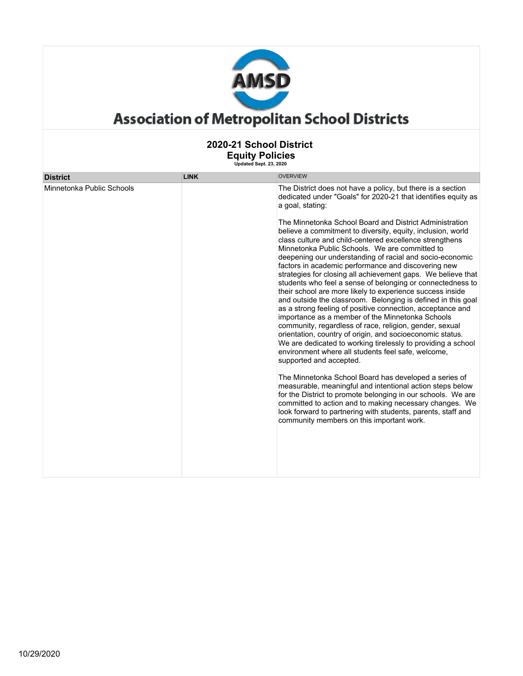

| <b>District</b>           | <b>LINK</b> | <b>OVERVIEW</b>                                                                                                                                                                                                                                                                                                                                                                                                                                                                                                                                                                                                                                                                                                                                                                                                                                                                                                                                                                                                                                                                                                                                                                                                                                                                                                                                                                                                                                                                                                                |
|---------------------------|-------------|--------------------------------------------------------------------------------------------------------------------------------------------------------------------------------------------------------------------------------------------------------------------------------------------------------------------------------------------------------------------------------------------------------------------------------------------------------------------------------------------------------------------------------------------------------------------------------------------------------------------------------------------------------------------------------------------------------------------------------------------------------------------------------------------------------------------------------------------------------------------------------------------------------------------------------------------------------------------------------------------------------------------------------------------------------------------------------------------------------------------------------------------------------------------------------------------------------------------------------------------------------------------------------------------------------------------------------------------------------------------------------------------------------------------------------------------------------------------------------------------------------------------------------|
| Minnetonka Public Schools |             | The District does not have a policy, but there is a section<br>dedicated under "Goals" for 2020-21 that identifies equity as<br>a goal, stating:<br>The Minnetonka School Board and District Administration<br>believe a commitment to diversity, equity, inclusion, world<br>class culture and child-centered excellence strengthens<br>Minnetonka Public Schools. We are committed to<br>deepening our understanding of racial and socio-economic<br>factors in academic performance and discovering new<br>strategies for closing all achievement gaps. We believe that<br>students who feel a sense of belonging or connectedness to<br>their school are more likely to experience success inside<br>and outside the classroom. Belonging is defined in this goal<br>as a strong feeling of positive connection, acceptance and<br>importance as a member of the Minnetonka Schools<br>community, regardless of race, religion, gender, sexual<br>orientation, country of origin, and socioeconomic status.<br>We are dedicated to working tirelessly to providing a school<br>environment where all students feel safe, welcome,<br>supported and accepted.<br>The Minnetonka School Board has developed a series of<br>measurable, meaningful and intentional action steps below<br>for the District to promote belonging in our schools. We are<br>committed to action and to making necessary changes. We<br>look forward to partnering with students, parents, staff and<br>community members on this important work. |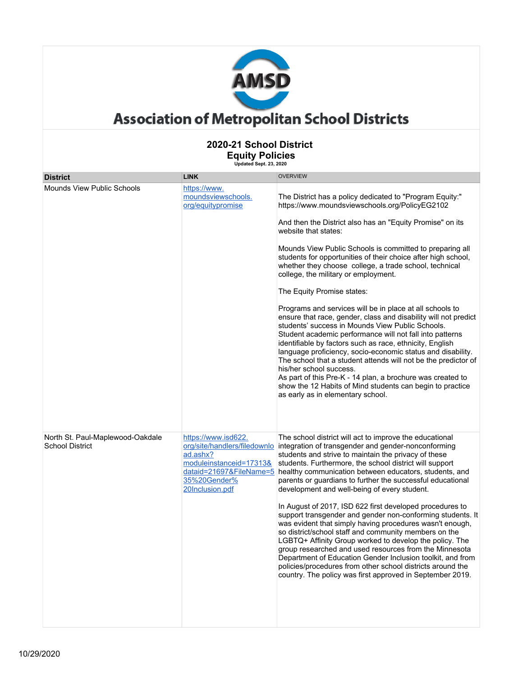

|                                                            | υμυαιου σομι. Ζσ. Ζυζυ                                                                        |                                                                                                                                                                                                                                                                                                                                                                                                                                                                                                                                                                                                                                                                                                                                                                                                                                                                                                                                                                                                                                                                                                     |  |
|------------------------------------------------------------|-----------------------------------------------------------------------------------------------|-----------------------------------------------------------------------------------------------------------------------------------------------------------------------------------------------------------------------------------------------------------------------------------------------------------------------------------------------------------------------------------------------------------------------------------------------------------------------------------------------------------------------------------------------------------------------------------------------------------------------------------------------------------------------------------------------------------------------------------------------------------------------------------------------------------------------------------------------------------------------------------------------------------------------------------------------------------------------------------------------------------------------------------------------------------------------------------------------------|--|
| <b>District</b>                                            | <b>LINK</b>                                                                                   | <b>OVERVIEW</b>                                                                                                                                                                                                                                                                                                                                                                                                                                                                                                                                                                                                                                                                                                                                                                                                                                                                                                                                                                                                                                                                                     |  |
| Mounds View Public Schools                                 | https://www.<br>moundsviewschools.<br>org/equitypromise                                       | The District has a policy dedicated to "Program Equity:"<br>https://www.moundsviewschools.org/PolicyEG2102<br>And then the District also has an "Equity Promise" on its<br>website that states:<br>Mounds View Public Schools is committed to preparing all<br>students for opportunities of their choice after high school,<br>whether they choose college, a trade school, technical<br>college, the military or employment.<br>The Equity Promise states:<br>Programs and services will be in place at all schools to<br>ensure that race, gender, class and disability will not predict<br>students' success in Mounds View Public Schools.<br>Student academic performance will not fall into patterns<br>identifiable by factors such as race, ethnicity, English<br>language proficiency, socio-economic status and disability.<br>The school that a student attends will not be the predictor of<br>his/her school success.<br>As part of this Pre-K - 14 plan, a brochure was created to<br>show the 12 Habits of Mind students can begin to practice<br>as early as in elementary school. |  |
| North St. Paul-Maplewood-Oakdale<br><b>School District</b> | https://www.isd622.<br>ad.ashx?<br>moduleinstanceid=17313&<br>35%20Gender%<br>20Inclusion.pdf | The school district will act to improve the educational<br>org/site/handlers/filedownlo integration of transgender and gender-nonconforming<br>students and strive to maintain the privacy of these<br>students. Furthermore, the school district will support<br>dataid=21697&FileName=5 healthy communication between educators, students, and<br>parents or guardians to further the successful educational<br>development and well-being of every student.<br>In August of 2017, ISD 622 first developed procedures to<br>support transgender and gender non-conforming students. It<br>was evident that simply having procedures wasn't enough,<br>so district/school staff and community members on the<br>LGBTQ+ Affinity Group worked to develop the policy. The<br>group researched and used resources from the Minnesota<br>Department of Education Gender Inclusion toolkit, and from<br>policies/procedures from other school districts around the<br>country. The policy was first approved in September 2019.                                                                         |  |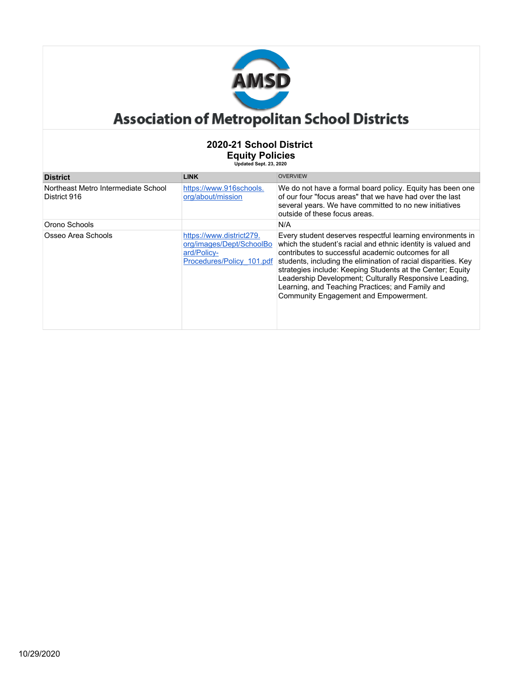

| <b>District</b>                                     | <b>LINK</b>                                                                                      | <b>OVERVIEW</b>                                                                                                                                                                                                                                                                                                                                                                                                                                                          |
|-----------------------------------------------------|--------------------------------------------------------------------------------------------------|--------------------------------------------------------------------------------------------------------------------------------------------------------------------------------------------------------------------------------------------------------------------------------------------------------------------------------------------------------------------------------------------------------------------------------------------------------------------------|
| Northeast Metro Intermediate School<br>District 916 | https://www.916schools.<br>org/about/mission                                                     | We do not have a formal board policy. Equity has been one<br>of our four "focus areas" that we have had over the last<br>several years. We have committed to no new initiatives<br>outside of these focus areas.                                                                                                                                                                                                                                                         |
| Orono Schools                                       |                                                                                                  | N/A                                                                                                                                                                                                                                                                                                                                                                                                                                                                      |
| Osseo Area Schools                                  | https://www.district279.<br>org/images/Dept/SchoolBo<br>ard/Policy-<br>Procedures/Policy 101.pdf | Every student deserves respectful learning environments in<br>which the student's racial and ethnic identity is valued and<br>contributes to successful academic outcomes for all<br>students, including the elimination of racial disparities. Key<br>strategies include: Keeping Students at the Center; Equity<br>Leadership Development; Culturally Responsive Leading,<br>Learning, and Teaching Practices; and Family and<br>Community Engagement and Empowerment. |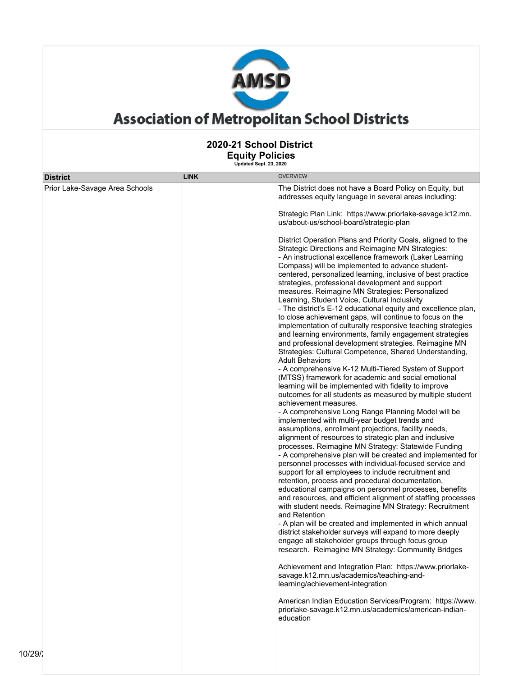

| <b>District</b><br>Prior Lake-Savage Area Schools | <b>LINK</b> | <b>OVERVIEW</b><br>The District does not have a Board Policy on Equity, but<br>addresses equity language in several areas including:<br>Strategic Plan Link: https://www.priorlake-savage.k12.mn.<br>us/about-us/school-board/strategic-plan<br>District Operation Plans and Priority Goals, aligned to the<br>Strategic Directions and Reimagine MN Strategies:<br>- An instructional excellence framework (Laker Learning<br>Compass) will be implemented to advance student-<br>centered, personalized learning, inclusive of best practice<br>strategies, professional development and support<br>measures. Reimagine MN Strategies: Personalized<br>Learning, Student Voice, Cultural Inclusivity<br>- The district's E-12 educational equity and excellence plan,<br>to close achievement gaps, will continue to focus on the<br>implementation of culturally responsive teaching strategies<br>and learning environments, family engagement strategies<br>and professional development strategies. Reimagine MN<br>Strategies: Cultural Competence, Shared Understanding,<br><b>Adult Behaviors</b><br>- A comprehensive K-12 Multi-Tiered System of Support<br>(MTSS) framework for academic and social emotional<br>learning will be implemented with fidelity to improve<br>outcomes for all students as measured by multiple student<br>achievement measures.<br>- A comprehensive Long Range Planning Model will be<br>implemented with multi-year budget trends and<br>assumptions, enrollment projections, facility needs,<br>alignment of resources to strategic plan and inclusive<br>processes. Reimagine MN Strategy: Statewide Funding<br>- A comprehensive plan will be created and implemented for<br>personnel processes with individual-focused service and<br>support for all employees to include recruitment and<br>retention, process and procedural documentation,<br>educational campaigns on personnel processes, benefits<br>and resources, and efficient alignment of staffing processes<br>with student needs. Reimagine MN Strategy: Recruitment<br>and Retention<br>- A plan will be created and implemented in which annual<br>district stakeholder surveys will expand to more deeply<br>engage all stakeholder groups through focus group<br>research. Reimagine MN Strategy: Community Bridges<br>Achievement and Integration Plan: https://www.priorlake-<br>savage.k12.mn.us/academics/teaching-and-<br>learning/achievement-integration<br>American Indian Education Services/Program: https://www.<br>priorlake-savage.k12.mn.us/academics/american-indian-<br>education |
|---------------------------------------------------|-------------|---------------------------------------------------------------------------------------------------------------------------------------------------------------------------------------------------------------------------------------------------------------------------------------------------------------------------------------------------------------------------------------------------------------------------------------------------------------------------------------------------------------------------------------------------------------------------------------------------------------------------------------------------------------------------------------------------------------------------------------------------------------------------------------------------------------------------------------------------------------------------------------------------------------------------------------------------------------------------------------------------------------------------------------------------------------------------------------------------------------------------------------------------------------------------------------------------------------------------------------------------------------------------------------------------------------------------------------------------------------------------------------------------------------------------------------------------------------------------------------------------------------------------------------------------------------------------------------------------------------------------------------------------------------------------------------------------------------------------------------------------------------------------------------------------------------------------------------------------------------------------------------------------------------------------------------------------------------------------------------------------------------------------------------------------------------------------------------------------------------------------------------------------------------------------------------------------------------------------------------------------------------------------------------------------------------------------------------------------------------------------------------------------------------------------------------------------------------------------------------------------------------------------------------------------------------------------------------------------------------------|
|                                                   |             |                                                                                                                                                                                                                                                                                                                                                                                                                                                                                                                                                                                                                                                                                                                                                                                                                                                                                                                                                                                                                                                                                                                                                                                                                                                                                                                                                                                                                                                                                                                                                                                                                                                                                                                                                                                                                                                                                                                                                                                                                                                                                                                                                                                                                                                                                                                                                                                                                                                                                                                                                                                                                     |
|                                                   |             |                                                                                                                                                                                                                                                                                                                                                                                                                                                                                                                                                                                                                                                                                                                                                                                                                                                                                                                                                                                                                                                                                                                                                                                                                                                                                                                                                                                                                                                                                                                                                                                                                                                                                                                                                                                                                                                                                                                                                                                                                                                                                                                                                                                                                                                                                                                                                                                                                                                                                                                                                                                                                     |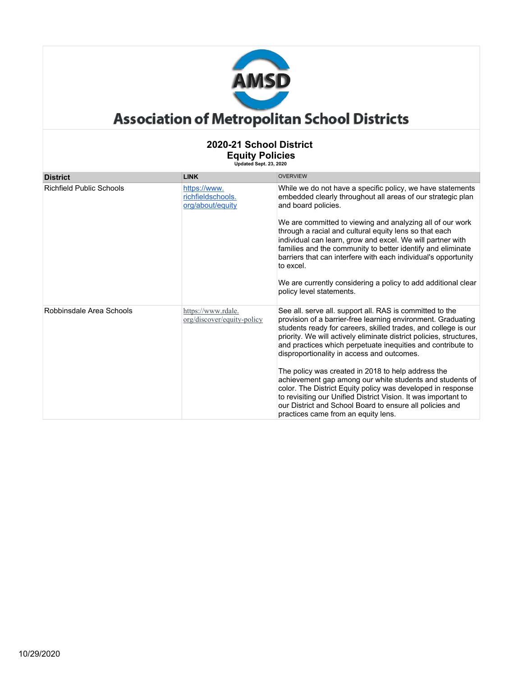

| <b>District</b>                 | <b>LINK</b>                                           | <b>OVERVIEW</b>                                                                                                                                                                                                                                                                                                                                                                                                                                                                                  |
|---------------------------------|-------------------------------------------------------|--------------------------------------------------------------------------------------------------------------------------------------------------------------------------------------------------------------------------------------------------------------------------------------------------------------------------------------------------------------------------------------------------------------------------------------------------------------------------------------------------|
| <b>Richfield Public Schools</b> | https://www.<br>richfieldschools.<br>org/about/equity | While we do not have a specific policy, we have statements<br>embedded clearly throughout all areas of our strategic plan<br>and board policies.                                                                                                                                                                                                                                                                                                                                                 |
|                                 |                                                       | We are committed to viewing and analyzing all of our work<br>through a racial and cultural equity lens so that each<br>individual can learn, grow and excel. We will partner with<br>families and the community to better identify and eliminate<br>barriers that can interfere with each individual's opportunity<br>to excel.<br>We are currently considering a policy to add additional clear<br>policy level statements.                                                                     |
| Robbinsdale Area Schools        | https://www.rdale.<br>org/discover/equity-policy      | See all. serve all. support all. RAS is committed to the<br>provision of a barrier-free learning environment. Graduating<br>students ready for careers, skilled trades, and college is our<br>priority. We will actively eliminate district policies, structures,<br>and practices which perpetuate inequities and contribute to<br>disproportionality in access and outcomes.<br>The policy was created in 2018 to help address the<br>achievement gap among our white students and students of |
|                                 |                                                       | color. The District Equity policy was developed in response<br>to revisiting our Unified District Vision. It was important to<br>our District and School Board to ensure all policies and<br>practices came from an equity lens.                                                                                                                                                                                                                                                                 |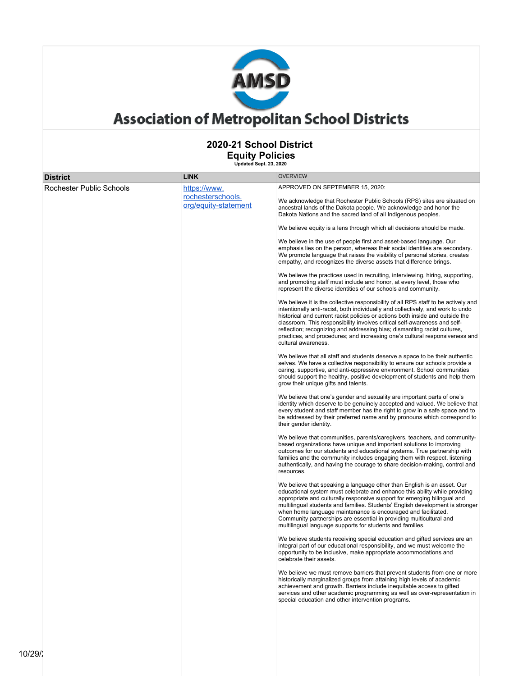

#### **2020-21 School District Equity Policies**

| Equity Policies<br>Updated Sept. 23, 2020 |                                                           |                                                                                                                                                                                                                                                                                                                                                                                                                                                                                                                                                                                                                                                                                                                                                                                                                                                                                                                                                                                                                                                                                                                                                                                                                                                                                                                                                                                                                                                                                                                                                                                                                                                                                                                                                                                                                                                                                                                                                                                                                                                                                                                                                                                                                                                                                                                                                                                                                                                                                                                                                                                                                                                                                                                                                                                                                                                                                                                                                                                                                                                                                                                                                                                                                                                                                                                                                                                                                                                                                                                                                                                                                                                                                   |
|-------------------------------------------|-----------------------------------------------------------|-----------------------------------------------------------------------------------------------------------------------------------------------------------------------------------------------------------------------------------------------------------------------------------------------------------------------------------------------------------------------------------------------------------------------------------------------------------------------------------------------------------------------------------------------------------------------------------------------------------------------------------------------------------------------------------------------------------------------------------------------------------------------------------------------------------------------------------------------------------------------------------------------------------------------------------------------------------------------------------------------------------------------------------------------------------------------------------------------------------------------------------------------------------------------------------------------------------------------------------------------------------------------------------------------------------------------------------------------------------------------------------------------------------------------------------------------------------------------------------------------------------------------------------------------------------------------------------------------------------------------------------------------------------------------------------------------------------------------------------------------------------------------------------------------------------------------------------------------------------------------------------------------------------------------------------------------------------------------------------------------------------------------------------------------------------------------------------------------------------------------------------------------------------------------------------------------------------------------------------------------------------------------------------------------------------------------------------------------------------------------------------------------------------------------------------------------------------------------------------------------------------------------------------------------------------------------------------------------------------------------------------------------------------------------------------------------------------------------------------------------------------------------------------------------------------------------------------------------------------------------------------------------------------------------------------------------------------------------------------------------------------------------------------------------------------------------------------------------------------------------------------------------------------------------------------------------------------------------------------------------------------------------------------------------------------------------------------------------------------------------------------------------------------------------------------------------------------------------------------------------------------------------------------------------------------------------------------------------------------------------------------------------------------------------------------|
| <b>District</b>                           | <b>LINK</b>                                               | <b>OVERVIEW</b>                                                                                                                                                                                                                                                                                                                                                                                                                                                                                                                                                                                                                                                                                                                                                                                                                                                                                                                                                                                                                                                                                                                                                                                                                                                                                                                                                                                                                                                                                                                                                                                                                                                                                                                                                                                                                                                                                                                                                                                                                                                                                                                                                                                                                                                                                                                                                                                                                                                                                                                                                                                                                                                                                                                                                                                                                                                                                                                                                                                                                                                                                                                                                                                                                                                                                                                                                                                                                                                                                                                                                                                                                                                                   |
| Rochester Public Schools                  | https://www.<br>rochesterschools.<br>org/equity-statement | APPROVED ON SEPTEMBER 15, 2020:<br>We acknowledge that Rochester Public Schools (RPS) sites are situated on<br>ancestral lands of the Dakota people. We acknowledge and honor the<br>Dakota Nations and the sacred land of all Indigenous peoples.<br>We believe equity is a lens through which all decisions should be made.<br>We believe in the use of people first and asset-based language. Our<br>emphasis lies on the person, whereas their social identities are secondary.<br>We promote language that raises the visibility of personal stories, creates<br>empathy, and recognizes the diverse assets that difference brings.<br>We believe the practices used in recruiting, interviewing, hiring, supporting,<br>and promoting staff must include and honor, at every level, those who<br>represent the diverse identities of our schools and community.<br>We believe it is the collective responsibility of all RPS staff to be actively and<br>intentionally anti-racist, both individually and collectively, and work to undo<br>historical and current racist policies or actions both inside and outside the<br>classroom. This responsibility involves critical self-awareness and self-<br>reflection; recognizing and addressing bias; dismantling racist cultures,<br>practices, and procedures; and increasing one's cultural responsiveness and<br>cultural awareness.<br>We believe that all staff and students deserve a space to be their authentic<br>selves. We have a collective responsibility to ensure our schools provide a<br>caring, supportive, and anti-oppressive environment. School communities<br>should support the healthy, positive development of students and help them<br>grow their unique gifts and talents.<br>We believe that one's gender and sexuality are important parts of one's<br>identity which deserve to be genuinely accepted and valued. We believe that<br>every student and staff member has the right to grow in a safe space and to<br>be addressed by their preferred name and by pronouns which correspond to<br>their gender identity.<br>We believe that communities, parents/caregivers, teachers, and community-<br>based organizations have unique and important solutions to improving<br>outcomes for our students and educational systems. True partnership with<br>families and the community includes engaging them with respect, listening<br>authentically, and having the courage to share decision-making, control and<br>resources.<br>We believe that speaking a language other than English is an asset. Our<br>educational system must celebrate and enhance this ability while providing<br>appropriate and culturally responsive support for emerging bilingual and<br>multilingual students and families. Students' English development is stronger<br>when home language maintenance is encouraged and facilitated.<br>Community partnerships are essential in providing multicultural and<br>multilingual language supports for students and families.<br>We believe students receiving special education and gifted services are an<br>integral part of our educational responsibility, and we must welcome the<br>opportunity to be inclusive, make appropriate accommodations and<br>celebrate their assets.<br>We believe we must remove barriers that prevent students from one or more<br>historically marginalized groups from attaining high levels of academic<br>achievement and growth. Barriers include inequitable access to gifted<br>services and other academic programming as well as over-representation in<br>special education and other intervention programs. |
|                                           |                                                           |                                                                                                                                                                                                                                                                                                                                                                                                                                                                                                                                                                                                                                                                                                                                                                                                                                                                                                                                                                                                                                                                                                                                                                                                                                                                                                                                                                                                                                                                                                                                                                                                                                                                                                                                                                                                                                                                                                                                                                                                                                                                                                                                                                                                                                                                                                                                                                                                                                                                                                                                                                                                                                                                                                                                                                                                                                                                                                                                                                                                                                                                                                                                                                                                                                                                                                                                                                                                                                                                                                                                                                                                                                                                                   |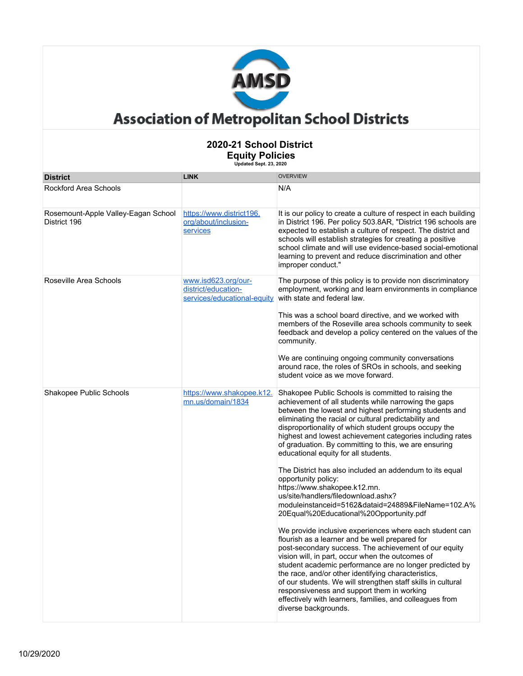

| <b>District</b>                                     | <b>LINK</b>                                                               | <b>OVERVIEW</b>                                                                                                                                                                                                                                                                                                                                                                                                                                                                                                                            |
|-----------------------------------------------------|---------------------------------------------------------------------------|--------------------------------------------------------------------------------------------------------------------------------------------------------------------------------------------------------------------------------------------------------------------------------------------------------------------------------------------------------------------------------------------------------------------------------------------------------------------------------------------------------------------------------------------|
| <b>Rockford Area Schools</b>                        |                                                                           | N/A                                                                                                                                                                                                                                                                                                                                                                                                                                                                                                                                        |
| Rosemount-Apple Valley-Eagan School<br>District 196 | https://www.district196.<br>org/about/inclusion-<br>services              | It is our policy to create a culture of respect in each building<br>in District 196. Per policy 503.8AR, "District 196 schools are<br>expected to establish a culture of respect. The district and<br>schools will establish strategies for creating a positive<br>school climate and will use evidence-based social-emotional<br>learning to prevent and reduce discrimination and other<br>improper conduct."                                                                                                                            |
| Roseville Area Schools                              | www.isd623.org/our-<br>district/education-<br>services/educational-equity | The purpose of this policy is to provide non discriminatory<br>employment, working and learn environments in compliance<br>with state and federal law.                                                                                                                                                                                                                                                                                                                                                                                     |
|                                                     |                                                                           | This was a school board directive, and we worked with<br>members of the Roseville area schools community to seek<br>feedback and develop a policy centered on the values of the<br>community.                                                                                                                                                                                                                                                                                                                                              |
|                                                     |                                                                           | We are continuing ongoing community conversations<br>around race, the roles of SROs in schools, and seeking<br>student voice as we move forward.                                                                                                                                                                                                                                                                                                                                                                                           |
| Shakopee Public Schools                             | https://www.shakopee.k12.<br>mn.us/domain/1834                            | Shakopee Public Schools is committed to raising the<br>achievement of all students while narrowing the gaps<br>between the lowest and highest performing students and<br>eliminating the racial or cultural predictability and<br>disproportionality of which student groups occupy the<br>highest and lowest achievement categories including rates<br>of graduation. By committing to this, we are ensuring<br>educational equity for all students.                                                                                      |
|                                                     |                                                                           | The District has also included an addendum to its equal<br>opportunity policy:<br>https://www.shakopee.k12.mn.<br>us/site/handlers/filedownload.ashx?<br>moduleinstanceid=5162&dataid=24889&FileName=102.A%<br>20Equal%20Educational%20Opportunity.pdf                                                                                                                                                                                                                                                                                     |
|                                                     |                                                                           | We provide inclusive experiences where each student can<br>flourish as a learner and be well prepared for<br>post-secondary success. The achievement of our equity<br>vision will, in part, occur when the outcomes of<br>student academic performance are no longer predicted by<br>the race, and/or other identifying characteristics,<br>of our students. We will strengthen staff skills in cultural<br>responsiveness and support them in working<br>effectively with learners, families, and colleagues from<br>diverse backgrounds. |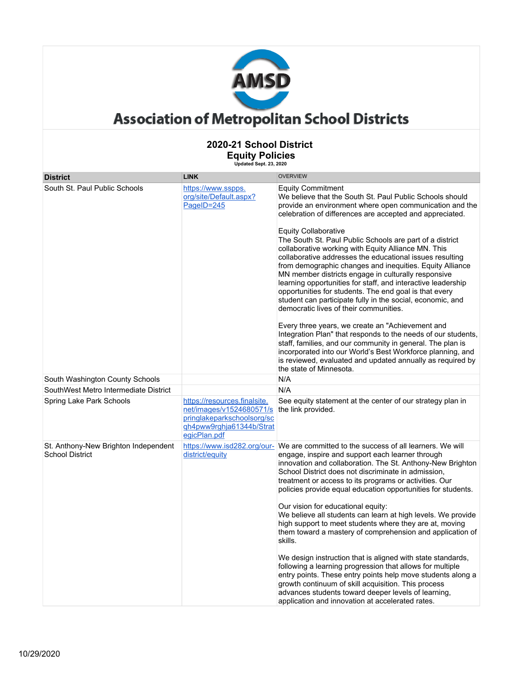

| 2020-21 School District<br><b>Equity Policies</b><br>Updated Sept. 23, 2020 |                                                                                                                                    |                                                                                                                                                                                                                                                                                                                                                                                                                                                                                                                                                                                                                                                                                                                                                                                                                                                                                                                                                                                                                                                                                                                          |  |  |
|-----------------------------------------------------------------------------|------------------------------------------------------------------------------------------------------------------------------------|--------------------------------------------------------------------------------------------------------------------------------------------------------------------------------------------------------------------------------------------------------------------------------------------------------------------------------------------------------------------------------------------------------------------------------------------------------------------------------------------------------------------------------------------------------------------------------------------------------------------------------------------------------------------------------------------------------------------------------------------------------------------------------------------------------------------------------------------------------------------------------------------------------------------------------------------------------------------------------------------------------------------------------------------------------------------------------------------------------------------------|--|--|
| <b>District</b>                                                             | <b>LINK</b>                                                                                                                        | <b>OVERVIEW</b>                                                                                                                                                                                                                                                                                                                                                                                                                                                                                                                                                                                                                                                                                                                                                                                                                                                                                                                                                                                                                                                                                                          |  |  |
| South St. Paul Public Schools                                               | https://www.sspps.<br>org/site/Default.aspx?<br>PageID=245                                                                         | <b>Equity Commitment</b><br>We believe that the South St. Paul Public Schools should<br>provide an environment where open communication and the<br>celebration of differences are accepted and appreciated.<br><b>Equity Collaborative</b><br>The South St. Paul Public Schools are part of a district<br>collaborative working with Equity Alliance MN. This<br>collaborative addresses the educational issues resulting<br>from demographic changes and inequities. Equity Alliance<br>MN member districts engage in culturally responsive<br>learning opportunities for staff, and interactive leadership<br>opportunities for students. The end goal is that every<br>student can participate fully in the social, economic, and<br>democratic lives of their communities.<br>Every three years, we create an "Achievement and<br>Integration Plan" that responds to the needs of our students,<br>staff, families, and our community in general. The plan is<br>incorporated into our World's Best Workforce planning, and<br>is reviewed, evaluated and updated annually as required by<br>the state of Minnesota. |  |  |
| South Washington County Schools                                             |                                                                                                                                    | N/A                                                                                                                                                                                                                                                                                                                                                                                                                                                                                                                                                                                                                                                                                                                                                                                                                                                                                                                                                                                                                                                                                                                      |  |  |
| SouthWest Metro Intermediate District                                       |                                                                                                                                    | N/A                                                                                                                                                                                                                                                                                                                                                                                                                                                                                                                                                                                                                                                                                                                                                                                                                                                                                                                                                                                                                                                                                                                      |  |  |
| Spring Lake Park Schools                                                    | https://resources.finalsite.<br>net/images/v1524680571/s<br>pringlakeparkschoolsorg/sc<br>gh4pww9rghja61344b/Strat<br>egicPlan.pdf | See equity statement at the center of our strategy plan in<br>the link provided.                                                                                                                                                                                                                                                                                                                                                                                                                                                                                                                                                                                                                                                                                                                                                                                                                                                                                                                                                                                                                                         |  |  |
| St. Anthony-New Brighton Independent<br><b>School District</b>              | district/equity                                                                                                                    | https://www.isd282.org/our- We are committed to the success of all learners. We will<br>engage, inspire and support each learner through<br>innovation and collaboration. The St. Anthony-New Brighton<br>School District does not discriminate in admission,<br>treatment or access to its programs or activities. Our<br>policies provide equal education opportunities for students.<br>Our vision for educational equity:<br>We believe all students can learn at high levels. We provide<br>high support to meet students where they are at, moving<br>them toward a mastery of comprehension and application of<br>skills.<br>We design instruction that is aligned with state standards,<br>following a learning progression that allows for multiple<br>entry points. These entry points help move students along a<br>growth continuum of skill acquisition. This process<br>advances students toward deeper levels of learning,<br>application and innovation at accelerated rates.                                                                                                                            |  |  |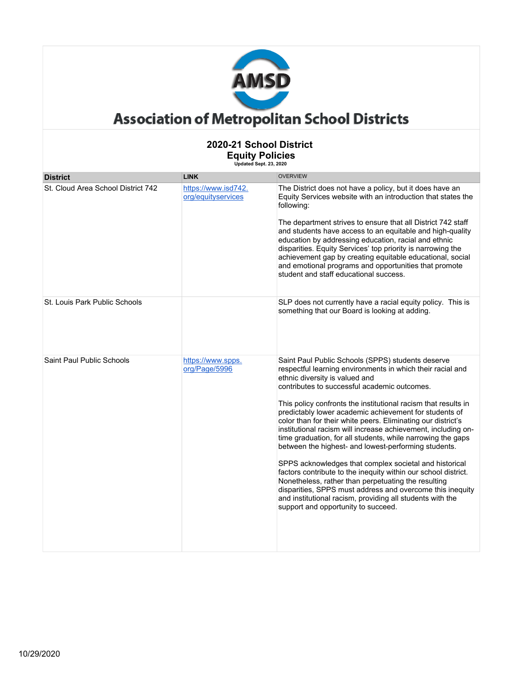

| 2020-21 School District<br><b>Equity Policies</b><br>Updated Sept. 23, 2020 |                                           |                                                                                                                                                                                                                                                                                                                                                                                                                                                                                                                                                                                                                                                                                                                                                                                                                                                                                                                                           |  |
|-----------------------------------------------------------------------------|-------------------------------------------|-------------------------------------------------------------------------------------------------------------------------------------------------------------------------------------------------------------------------------------------------------------------------------------------------------------------------------------------------------------------------------------------------------------------------------------------------------------------------------------------------------------------------------------------------------------------------------------------------------------------------------------------------------------------------------------------------------------------------------------------------------------------------------------------------------------------------------------------------------------------------------------------------------------------------------------------|--|
| <b>District</b>                                                             | <b>LINK</b>                               | <b>OVERVIEW</b>                                                                                                                                                                                                                                                                                                                                                                                                                                                                                                                                                                                                                                                                                                                                                                                                                                                                                                                           |  |
| St. Cloud Area School District 742                                          | https://www.isd742.<br>org/equityservices | The District does not have a policy, but it does have an<br>Equity Services website with an introduction that states the<br>following:<br>The department strives to ensure that all District 742 staff<br>and students have access to an equitable and high-quality<br>education by addressing education, racial and ethnic<br>disparities. Equity Services' top priority is narrowing the<br>achievement gap by creating equitable educational, social<br>and emotional programs and opportunities that promote<br>student and staff educational success.                                                                                                                                                                                                                                                                                                                                                                                |  |
| St. Louis Park Public Schools                                               |                                           | SLP does not currently have a racial equity policy. This is<br>something that our Board is looking at adding.                                                                                                                                                                                                                                                                                                                                                                                                                                                                                                                                                                                                                                                                                                                                                                                                                             |  |
| Saint Paul Public Schools                                                   | https://www.spps.<br>org/Page/5996        | Saint Paul Public Schools (SPPS) students deserve<br>respectful learning environments in which their racial and<br>ethnic diversity is valued and<br>contributes to successful academic outcomes.<br>This policy confronts the institutional racism that results in<br>predictably lower academic achievement for students of<br>color than for their white peers. Eliminating our district's<br>institutional racism will increase achievement, including on-<br>time graduation, for all students, while narrowing the gaps<br>between the highest- and lowest-performing students.<br>SPPS acknowledges that complex societal and historical<br>factors contribute to the inequity within our school district.<br>Nonetheless, rather than perpetuating the resulting<br>disparities, SPPS must address and overcome this inequity<br>and institutional racism, providing all students with the<br>support and opportunity to succeed. |  |